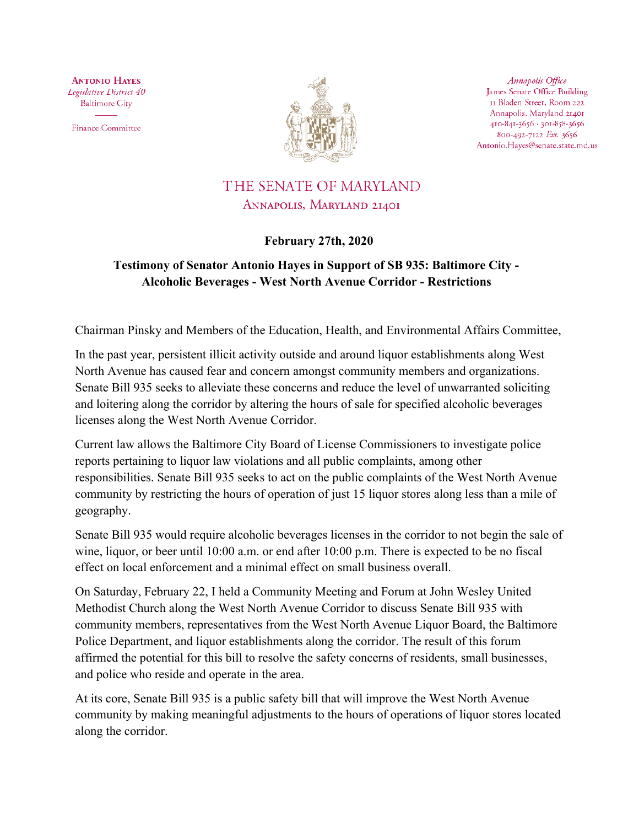**ANTONIO HAYES** Legislative District 40 **Baltimore City** 

**Finance Committee** 



Annapolis Office James Senate Office Building II Bladen Street, Room 222 Annapolis, Maryland 21401 410-841-3656 · 301-858-3656 800-492-7122 Ext. 3656 Antonio.Hayes@senate.state.md.us

## THE SENATE OF MARYLAND ANNAPOLIS, MARYLAND 21401

## **February 27th, 2020**

## **Testimony of Senator Antonio Hayes in Support of SB 935: Baltimore City - Alcoholic Beverages - West North Avenue Corridor - Restrictions**

Chairman Pinsky and Members of the Education, Health, and Environmental Affairs Committee,

In the past year, persistent illicit activity outside and around liquor establishments along West North Avenue has caused fear and concern amongst community members and organizations. Senate Bill 935 seeks to alleviate these concerns and reduce the level of unwarranted soliciting and loitering along the corridor by altering the hours of sale for specified alcoholic beverages licenses along the West North Avenue Corridor.

Current law allows the Baltimore City Board of License Commissioners to investigate police reports pertaining to liquor law violations and all public complaints, among other responsibilities. Senate Bill 935 seeks to act on the public complaints of the West North Avenue community by restricting the hours of operation of just 15 liquor stores along less than a mile of geography.

Senate Bill 935 would require alcoholic beverages licenses in the corridor to not begin the sale of wine, liquor, or beer until 10:00 a.m. or end after 10:00 p.m. There is expected to be no fiscal effect on local enforcement and a minimal effect on small business overall.

On Saturday, February 22, I held a Community Meeting and Forum at John Wesley United Methodist Church along the West North Avenue Corridor to discuss Senate Bill 935 with community members, representatives from the West North Avenue Liquor Board, the Baltimore Police Department, and liquor establishments along the corridor. The result of this forum affirmed the potential for this bill to resolve the safety concerns of residents, small businesses, and police who reside and operate in the area.

At its core, Senate Bill 935 is a public safety bill that will improve the West North Avenue community by making meaningful adjustments to the hours of operations of liquor stores located along the corridor.